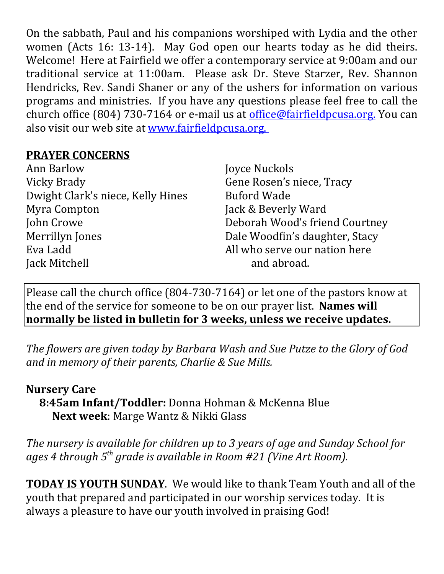On the sabbath, Paul and his companions worshiped with Lydia and the other women (Acts 16: 13-14). May God open our hearts today as he did theirs. Welcome! Here at Fairfield we offer a contemporary service at 9:00am and our traditional service at 11:00am. Please ask Dr. Steve Starzer, Rev. Shannon Hendricks, Rev. Sandi Shaner or any of the ushers for information on various programs and ministries. If you have any questions please feel free to call the church office (804) 730-7164 or e-mail us at *office@fairfieldpcusa.org*. You can also visit our web site at www.fairfieldpcusa.org.

## **PRAYER CONCERNS**

Ann Barlow Vicky Brady Dwight Clark's niece, Kelly Hines Myra Compton John Crowe Merrillyn Jones Eva Ladd Jack Mitchell

Joyce Nuckols Gene Rosen's niece, Tracy Buford Wade Jack & Beverly Ward Deborah Wood's friend Courtney Dale Woodfin's daughter, Stacy All who serve our nation here and abroad.

Please call the church office (804-730-7164) or let one of the pastors know at the end of the service for someone to be on our prayer list. **Names will normally be listed in bulletin for 3 weeks, unless we receive updates.**

*The flowers are given today by Barbara Wash and Sue Putze to the Glory of God and in memory of their parents, Charlie & Sue Mills.*

## **Nursery Care**

**8:45am Infant/Toddler:** Donna Hohman & McKenna Blue **Next week**: Marge Wantz & Nikki Glass

*The nursery is available for children up to 3 years of age and Sunday School for ages 4 through 5th grade is available in Room #21 (Vine Art Room).*

**TODAY IS YOUTH SUNDAY**. We would like to thank Team Youth and all of the youth that prepared and participated in our worship services today. It is always a pleasure to have our youth involved in praising God!